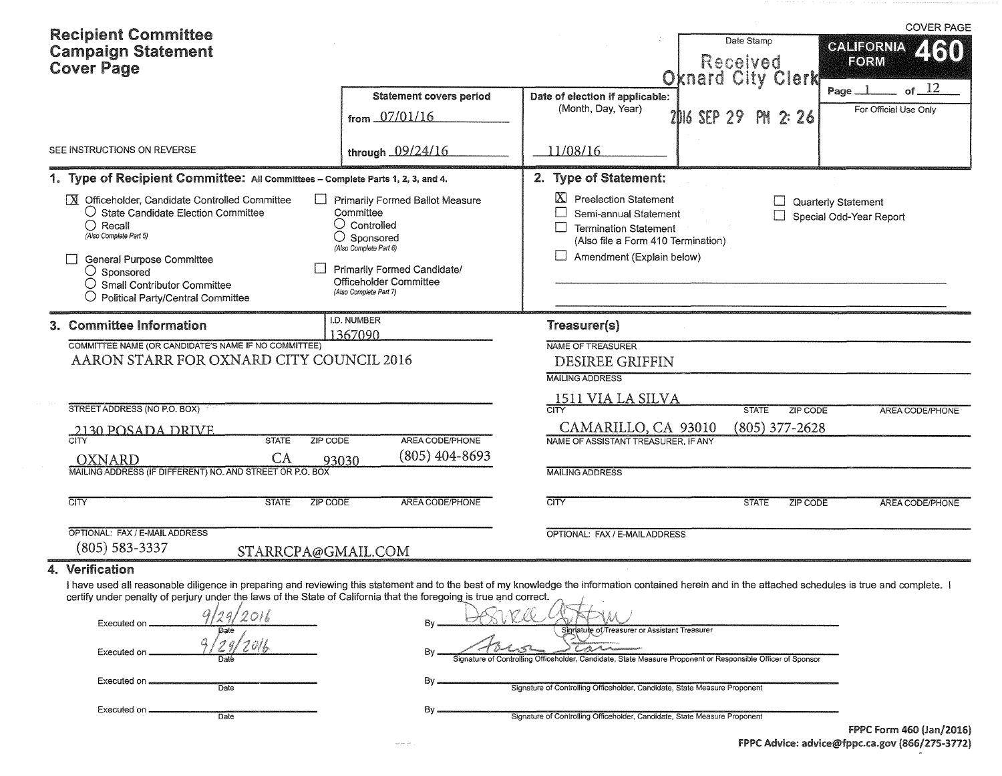| <b>Recipient Committee</b>                                                                                                                                                                                                                                                                                                                                |                                                                                                                                                                                                   |                                                                                                                                                                |                                                    | <b>COVER PAGE</b>                                        |
|-----------------------------------------------------------------------------------------------------------------------------------------------------------------------------------------------------------------------------------------------------------------------------------------------------------------------------------------------------------|---------------------------------------------------------------------------------------------------------------------------------------------------------------------------------------------------|----------------------------------------------------------------------------------------------------------------------------------------------------------------|----------------------------------------------------|----------------------------------------------------------|
| <b>Campaign Statement</b><br><b>Cover Page</b>                                                                                                                                                                                                                                                                                                            |                                                                                                                                                                                                   |                                                                                                                                                                | Date Stamp<br>Received<br><b>Oknard City Clerk</b> | <b>CALIFORNIA</b><br>2130<br>FORM                        |
|                                                                                                                                                                                                                                                                                                                                                           | <b>Statement covers period</b><br>from 07/01/16                                                                                                                                                   | Date of election if applicable:<br>(Month, Day, Year)                                                                                                          | 2016 SEP 29 PM 2:26                                | of $12$<br>$Page$ <sub>__</sub><br>For Official Use Only |
| SEE INSTRUCTIONS ON REVERSE                                                                                                                                                                                                                                                                                                                               | through 09/24/16                                                                                                                                                                                  | 11/08/16                                                                                                                                                       |                                                    |                                                          |
| 1. Type of Recipient Committee: All Committees - Complete Parts 1, 2, 3, and 4.                                                                                                                                                                                                                                                                           |                                                                                                                                                                                                   | 2. Type of Statement:                                                                                                                                          |                                                    |                                                          |
| M Officeholder, Candidate Controlled Committee<br>O State Candidate Election Committee<br>$\bigcirc$ Recall<br>(Also Complete Part 5)<br><b>General Purpose Committee</b><br>$\bigcirc$ Sponsored<br>$\bigcirc$ Small Contributor Committee<br>$\bigcirc$ Political Party/Central Committee                                                               | Primarily Formed Ballot Measure<br>Committee<br>$\bigcirc$ Controlled<br>◯ Sponsored<br>(Also Complete Part 6)<br>Primarily Formed Candidate/<br>Officeholder Committee<br>(Also Complete Part 7) | IΧ<br><b>Preelection Statement</b><br>Semi-annual Statement<br><b>Termination Statement</b><br>(Also file a Form 410 Termination)<br>Amendment (Explain below) |                                                    | Quarterly Statement<br>Special Odd-Year Report           |
| 3. Committee Information                                                                                                                                                                                                                                                                                                                                  | I.D. NUMBER<br>1367090                                                                                                                                                                            | Treasurer(s)                                                                                                                                                   |                                                    |                                                          |
| COMMITTEE NAME (OR CANDIDATE'S NAME IF NO COMMITTEE)<br>AARON STARR FOR OXNARD CITY COUNCIL 2016                                                                                                                                                                                                                                                          |                                                                                                                                                                                                   | <b>NAME OF TREASURER</b><br><b>DESIREE GRIFFIN</b><br><b>MAILING ADDRESS</b>                                                                                   |                                                    |                                                          |
| STREET ADDRESS (NO P.O. BOX)                                                                                                                                                                                                                                                                                                                              |                                                                                                                                                                                                   | 1511 VIA LA SILVA<br>$\overline{\text{CITY}}$                                                                                                                  | <b>STATE</b><br>ZIP CODE                           | <b>AREA CODE/PHONE</b>                                   |
| 2130 POSADA DRIVE<br><b>STATE</b><br>ZIP CODE<br>CA<br>OXNARD                                                                                                                                                                                                                                                                                             | AREA CODE/PHONE<br>(805) 404-8693<br>93030                                                                                                                                                        | CAMARILLO, CA 93010<br>NAME OF ASSISTANT TREASURER, IF ANY                                                                                                     | (805) 377-2628                                     |                                                          |
| MAILING ADDRESS (IF DIFFERENT) NO. AND STREET OR P.O. BOX                                                                                                                                                                                                                                                                                                 |                                                                                                                                                                                                   | <b>MAILING ADDRESS</b>                                                                                                                                         |                                                    |                                                          |
| <b>CITY</b><br><b>STATE</b><br><b>ZIP CODE</b>                                                                                                                                                                                                                                                                                                            | AREA CODE/PHONE                                                                                                                                                                                   | <b>CITY</b>                                                                                                                                                    | <b>STATE</b><br>ZIP CODE                           | AREA CODE/PHONE                                          |
| OPTIONAL: FAX / E-MAIL ADDRESS<br>$(805) 583 - 3337$<br>STARRCPA@GMAIL.COM                                                                                                                                                                                                                                                                                |                                                                                                                                                                                                   | OPTIONAL: FAX / E-MAIL ADDRESS                                                                                                                                 |                                                    |                                                          |
| Verification<br>4.                                                                                                                                                                                                                                                                                                                                        |                                                                                                                                                                                                   |                                                                                                                                                                |                                                    |                                                          |
| I have used all reasonable diligence in preparing and reviewing this statement and to the best of my knowledge the information contained herein and in the attached schedules is true and complete. I<br>certify under penalty of perjury under the laws of the State of California that the foregoing is true and correct.<br>Executed on<br>Executed on | Bv                                                                                                                                                                                                | Signature of Treasurer or Assistant Treasurer<br>Controlling Officeholder, Candidate, State Measure Proponent or Responsible Officer of Sponsor                |                                                    |                                                          |
| Executed on<br>Date                                                                                                                                                                                                                                                                                                                                       | Bγ                                                                                                                                                                                                | Signature of Controlling Officeholder, Candidate, State Measure Proponent                                                                                      |                                                    |                                                          |
| Executed on.<br>Date                                                                                                                                                                                                                                                                                                                                      | Вy                                                                                                                                                                                                | Signature of Controlling Officeholder, Candidate, State Measure Proponent                                                                                      |                                                    |                                                          |

|                                                | <b>FPPC Form 460 (Jan/2016)</b> |
|------------------------------------------------|---------------------------------|
| FPPC Advice: advice@fppc.ca.gov (866/275-3772) |                                 |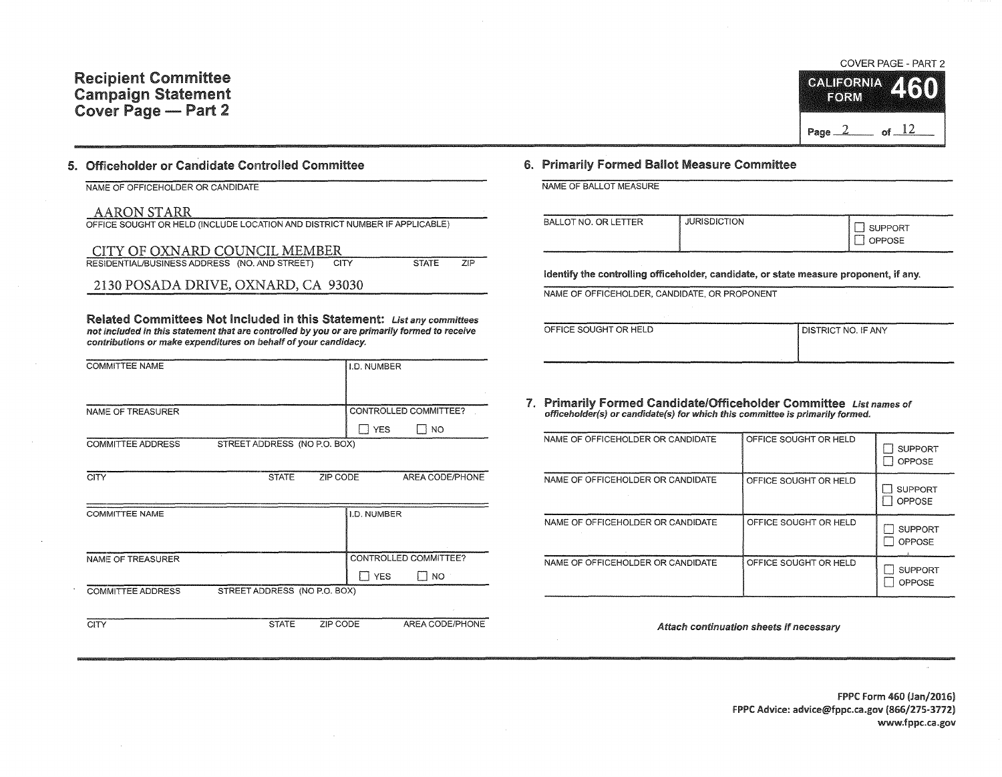# COVER PAGE - PART 2



## 5. Officeholder or Candidate Controlled Committee

NAME OF OFFICEHOLDER OR CANDIDATE

#### AARON STARR

| OFFICE SOUGHT OR HELD (INCLUDE LOCATION AND DISTRICT NUMBER IF APPLICABLE) |                     |  |  |  |  |  |  |
|----------------------------------------------------------------------------|---------------------|--|--|--|--|--|--|
| CITY OF OXNARD COUNCIL MEMBER                                              |                     |  |  |  |  |  |  |
| RESIDENTIAL/BUSINESS ADDRESS (NO. AND STREET)<br><b>CITY</b>               | 7IP<br><b>STATE</b> |  |  |  |  |  |  |
| 2130 POSADA DRIVE, OXNARD, CA 93030                                        |                     |  |  |  |  |  |  |

Related Committees Not Included in this Statement: List any committees not included in this statement that are controlled by you or are primarily formed to receive contributions or make expenditures on behalf of your candidacy.

| <b>COMMITTEE NAME</b>    |                              |          | I.D. NUMBER  |                                    |
|--------------------------|------------------------------|----------|--------------|------------------------------------|
| NAME OF TREASURER        |                              |          | <b>T</b> YES | CONTROLLED COMMITTEE?<br><b>NO</b> |
| <b>COMMITTEE ADDRESS</b> | STREET ADDRESS (NO P.O. BOX) |          |              |                                    |
| <b>CITY</b>              | <b>STATE</b>                 | ZIP CODE |              | AREA CODE/PHONE                    |
| COMMITTEE NAME           |                              |          | I.D. NUMBER  |                                    |

| NAME OF TREASURER        |                              |            | CONTROLLED COMMITTEE? |
|--------------------------|------------------------------|------------|-----------------------|
|                          |                              | <b>YES</b> | <b>NO</b>             |
| <b>COMMITTEE ADDRESS</b> | STREET ADDRESS (NO P.O. BOX) |            |                       |
|                          |                              |            |                       |
|                          | <b>STATE</b>                 | ZIP CODE   | AREA CODE/PHONE       |

### 6. Primarily Formed Ballot Measure Committee

| NAME OF BALLOT MEASURE |                     |                          |
|------------------------|---------------------|--------------------------|
| BALLOT NO. OR LETTER   | <b>JURISDICTION</b> | <b>SUPPORT</b><br>OPPOSE |
|                        |                     |                          |

Identify the controlling officeholder, candidate, or state measure proponent, if any.

NAME OF OFFICEHOLDER, CANDIDATE, OR PROPONENT

| OFFICE SOUGHT OR HELD | I DISTRICT NO. IF ANY |
|-----------------------|-----------------------|
|                       |                       |
|                       |                       |

7. Primarily Formed Candidate/Officeholder Committee List names of officeholder(s) or candidate(s) for which this committee is primarily formed.

| NAME OF OFFICEHOLDER OR CANDIDATE | OFFICE SOUGHT OR HELD | <b>SUPPORT</b><br>OPPOSE        |
|-----------------------------------|-----------------------|---------------------------------|
| NAME OF OFFICEHOLDER OR CANDIDATE | OFFICE SOUGHT OR HELD | <b>SUPPORT</b><br><b>OPPOSE</b> |
| NAME OF OFFICEHOLDER OR CANDIDATE | OFFICE SOUGHT OR HELD | <b>SUPPORT</b><br>OPPOSE        |
| NAME OF OFFICEHOLDER OR CANDIDATE | OFFICE SOUGHT OR HELD | <b>SUPPORT</b><br>OPPOSE        |

Attach continuation sheets if necessary

FPPC Form 460 (Jan/2016) FPPC Advice: advice@fppc.ca.gov (866/275-3772) www.fppc.ca.gov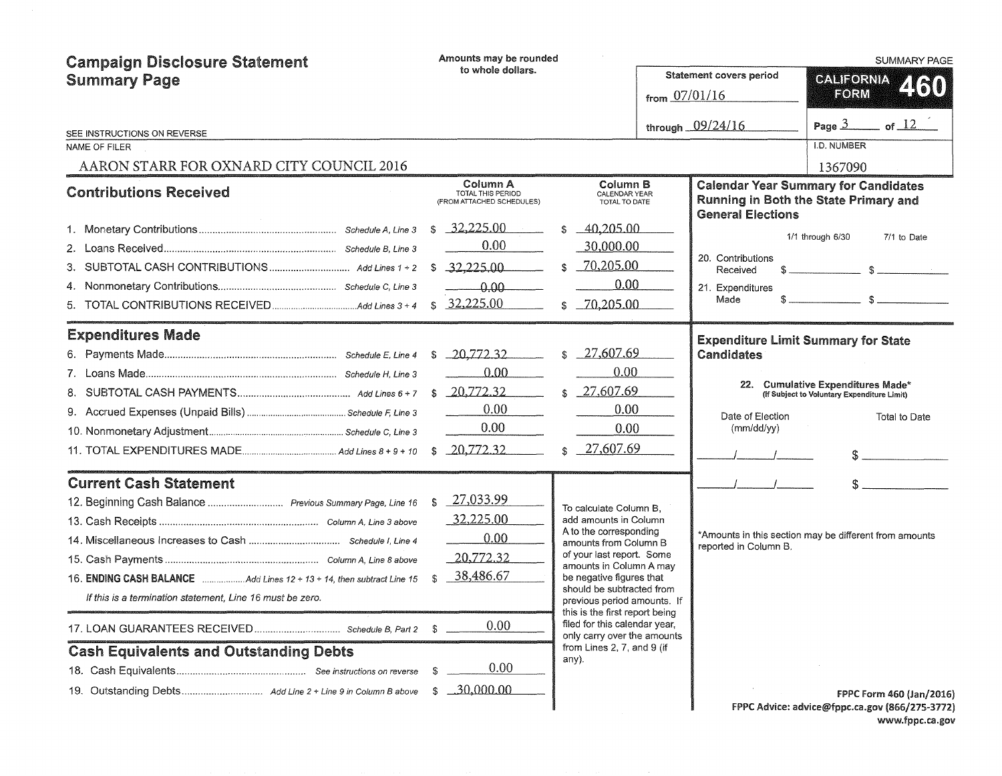| <b>Campaign Disclosure Statement</b>                                  |              | Amounts may be rounded                                     |     |                                                                                                |  |                                                                                                                  | <b>SUMMARY PAGE</b>                         |                                                                            |  |
|-----------------------------------------------------------------------|--------------|------------------------------------------------------------|-----|------------------------------------------------------------------------------------------------|--|------------------------------------------------------------------------------------------------------------------|---------------------------------------------|----------------------------------------------------------------------------|--|
| <b>Summary Page</b>                                                   |              | to whole dollars.                                          |     |                                                                                                |  | <b>Statement covers period</b>                                                                                   | <b>CALIFORNIA</b>                           |                                                                            |  |
|                                                                       |              |                                                            |     |                                                                                                |  | from $07/01/16$                                                                                                  | FORM                                        | 460                                                                        |  |
| SEE INSTRUCTIONS ON REVERSE                                           |              |                                                            |     |                                                                                                |  | through 09/24/16                                                                                                 |                                             | Page $3$ of $12$                                                           |  |
| NAME OF FILER                                                         |              |                                                            |     |                                                                                                |  |                                                                                                                  | <b>I.D. NUMBER</b>                          |                                                                            |  |
| AARON STARR FOR OXNARD CITY COUNCIL 2016                              |              |                                                            |     |                                                                                                |  |                                                                                                                  | 1367090                                     |                                                                            |  |
| <b>Contributions Received</b>                                         |              | Column A<br>TOTAL THIS PERIOD<br>(FROM ATTACHED SCHEDULES) |     | Column B<br>CALENDAR YEAR<br>TOTAL TO DATE                                                     |  | <b>Calendar Year Summary for Candidates</b><br>Running in Both the State Primary and<br><b>General Elections</b> |                                             |                                                                            |  |
|                                                                       | \$           | 32,225.00                                                  |     | 40.205.00                                                                                      |  |                                                                                                                  |                                             |                                                                            |  |
|                                                                       |              | 0.00                                                       |     | 30,000.00                                                                                      |  |                                                                                                                  | 1/1 through 6/30                            | 7/1 to Date                                                                |  |
|                                                                       | \$           | $-32,225,00$                                               | \$. | 70,205.00                                                                                      |  | 20. Contributions<br>Received                                                                                    |                                             |                                                                            |  |
|                                                                       |              | $-0.00$                                                    |     | 0.00                                                                                           |  | 21. Expenditures                                                                                                 |                                             |                                                                            |  |
| 5.                                                                    | $\mathbb{S}$ | 32,225.00                                                  | \$  | $-70,205,00$                                                                                   |  | Made                                                                                                             |                                             | $\sim$                                                                     |  |
| <b>Expenditures Made</b>                                              |              |                                                            |     |                                                                                                |  | <b>Expenditure Limit Summary for State</b>                                                                       |                                             |                                                                            |  |
|                                                                       | S            | $-20,772,32$                                               |     | 27,607.69                                                                                      |  | Candidates                                                                                                       |                                             |                                                                            |  |
|                                                                       |              | 0.00                                                       |     | 0.00                                                                                           |  |                                                                                                                  |                                             |                                                                            |  |
|                                                                       | \$           | 20,772.32                                                  | \$  | 27,607.69                                                                                      |  | 22. Cumulative Expenditures Made*                                                                                | (If Subject to Voluntary Expenditure Limit) |                                                                            |  |
|                                                                       |              | 0.00                                                       |     | 0.00                                                                                           |  | Date of Election                                                                                                 |                                             | Total to Date                                                              |  |
|                                                                       |              | 0.00                                                       |     | 0.00                                                                                           |  | (mm/dd/yy)                                                                                                       |                                             |                                                                            |  |
|                                                                       | $\mathbb{S}$ | 20,772.32                                                  | \$  | 27,607.69                                                                                      |  |                                                                                                                  |                                             |                                                                            |  |
| <b>Current Cash Statement</b>                                         |              |                                                            |     |                                                                                                |  |                                                                                                                  |                                             |                                                                            |  |
| 12. Beginning Cash Balance  Previous Summary Page, Line 16            | S.           | 27,033.99                                                  |     | To calculate Column B,                                                                         |  |                                                                                                                  |                                             |                                                                            |  |
|                                                                       |              | 32,225.00                                                  |     | add amounts in Column                                                                          |  |                                                                                                                  |                                             |                                                                            |  |
|                                                                       |              | 0.00                                                       |     | A to the corresponding<br>amounts from Column B                                                |  | *Amounts in this section may be different from amounts<br>reported in Column B.                                  |                                             |                                                                            |  |
|                                                                       |              | 20,772.32                                                  |     | of your last report. Some<br>amounts in Column A may                                           |  |                                                                                                                  |                                             |                                                                            |  |
| 16. ENDING CASH BALANCE Add Lines 12 + 13 + 14, then subtract Line 15 | S.           | 38,486.67                                                  |     | be negative figures that                                                                       |  |                                                                                                                  |                                             |                                                                            |  |
| If this is a termination statement, Line 16 must be zero.             |              |                                                            |     | should be subtracted from<br>previous period amounts. If                                       |  |                                                                                                                  |                                             |                                                                            |  |
|                                                                       |              | 0.00                                                       |     | this is the first report being<br>filed for this calendar year,<br>only carry over the amounts |  |                                                                                                                  |                                             |                                                                            |  |
| <b>Cash Equivalents and Outstanding Debts</b>                         |              |                                                            |     | from Lines 2, 7, and 9 (if<br>any).                                                            |  |                                                                                                                  |                                             |                                                                            |  |
|                                                                       | S            | 0.00                                                       |     |                                                                                                |  |                                                                                                                  |                                             |                                                                            |  |
|                                                                       | S.           | .30,000.00                                                 |     |                                                                                                |  |                                                                                                                  |                                             | FPPC Form 460 (Jan/2016)<br>FPPC Advice: advice@fppc.ca.gov (866/275-3772) |  |
|                                                                       |              |                                                            |     |                                                                                                |  |                                                                                                                  |                                             |                                                                            |  |

FPPC Advice: advice@fppc.ca.gov (866/275-3772) www.fppc.ca.gov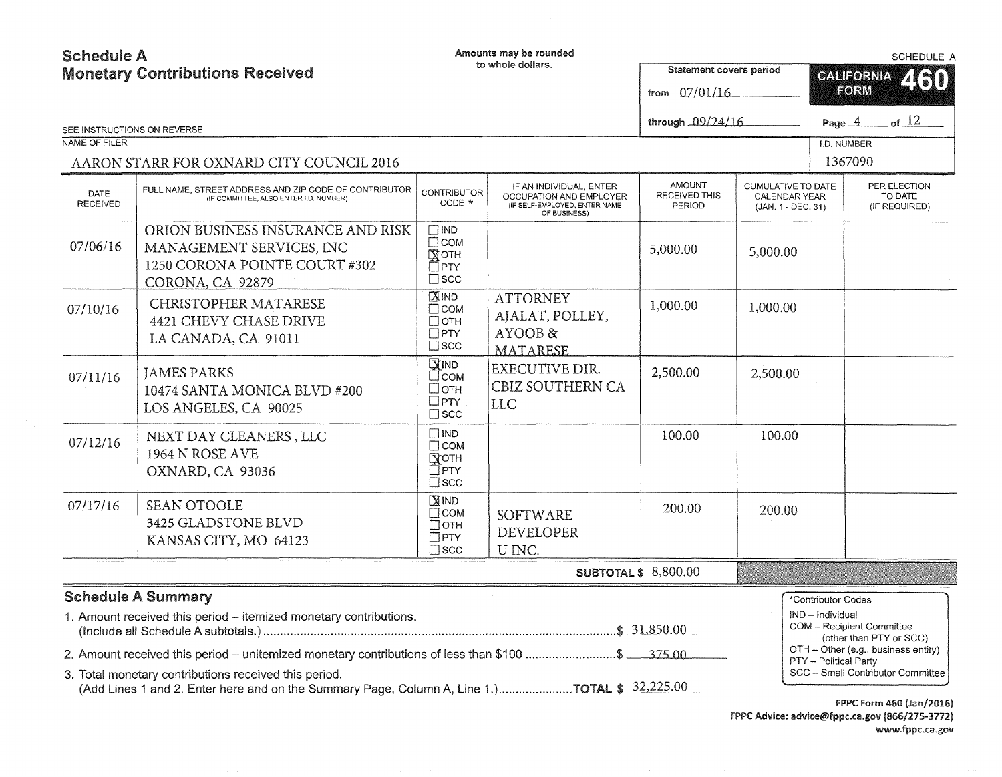| <b>Schedule A</b>              |                                                                                                                                                                                                                                                                 |                                                                                  | Amounts may be rounded                                                                              |                                                 |                                                                  | <b>SCHEDULE A</b>                |                                                      |  |
|--------------------------------|-----------------------------------------------------------------------------------------------------------------------------------------------------------------------------------------------------------------------------------------------------------------|----------------------------------------------------------------------------------|-----------------------------------------------------------------------------------------------------|-------------------------------------------------|------------------------------------------------------------------|----------------------------------|------------------------------------------------------|--|
|                                | <b>Monetary Contributions Received</b>                                                                                                                                                                                                                          |                                                                                  | to whole dollars.                                                                                   | Statement covers period                         |                                                                  | <b>CALIFORNIA</b><br>460<br>FORM |                                                      |  |
|                                |                                                                                                                                                                                                                                                                 |                                                                                  |                                                                                                     | from 07/01/16                                   |                                                                  |                                  |                                                      |  |
|                                | SEE INSTRUCTIONS ON REVERSE                                                                                                                                                                                                                                     |                                                                                  |                                                                                                     | of $12$<br>through 09/24/16<br>Page $-4$        |                                                                  |                                  |                                                      |  |
| NAME OF FILER                  |                                                                                                                                                                                                                                                                 |                                                                                  |                                                                                                     |                                                 |                                                                  | I.D. NUMBER                      |                                                      |  |
|                                | AARON STARR FOR OXNARD CITY COUNCIL 2016                                                                                                                                                                                                                        |                                                                                  |                                                                                                     |                                                 |                                                                  | 1367090                          |                                                      |  |
| <b>DATE</b><br><b>RECEIVED</b> | FULL NAME, STREET ADDRESS AND ZIP CODE OF CONTRIBUTOR<br>(IF COMMITTEE, ALSO ENTER I.D. NUMBER)                                                                                                                                                                 | <b>CONTRIBUTOR</b><br>CODE *                                                     | IF AN INDIVIDUAL, ENTER<br>OCCUPATION AND EMPLOYER<br>(IF SELF-EMPLOYED, ENTER NAME<br>OF BUSINESS) | <b>AMOUNT</b><br><b>RECEIVED THIS</b><br>PERIOD | CUMULATIVE TO DATE<br><b>CALENDAR YEAR</b><br>(JAN. 1 - DEC. 31) |                                  | PER ELECTION<br>TO DATE<br>(IF REQUIRED)             |  |
| 07/06/16                       | ORION BUSINESS INSURANCE AND RISK<br>MANAGEMENT SERVICES, INC<br>1250 CORONA POINTE COURT #302<br>CORONA, CA 92879                                                                                                                                              | $\Box$ IND<br>$\square$ COM<br>$M$ OTH<br>□ PTY<br>$\square$ scc                 |                                                                                                     | 5,000.00                                        | 5,000.00                                                         |                                  |                                                      |  |
| 07/10/16                       | <b>CHRISTOPHER MATARESE</b><br><b>4421 CHEVY CHASE DRIVE</b><br>LA CANADA, CA 91011                                                                                                                                                                             | $M$ <sub>IND</sub><br>$\Box$ COM<br>$\square$ OTH<br>$\Box$ PTY<br>$\square$ scc | <b>ATTORNEY</b><br>AJALAT, POLLEY,<br>AYOOB &<br>MATARESE                                           | 1,000.00                                        | 1,000.00                                                         |                                  |                                                      |  |
| 07/11/16                       | <b>JAMES PARKS</b><br>10474 SANTA MONICA BLVD #200<br>LOS ANGELES, CA 90025                                                                                                                                                                                     | <b>XIND</b><br>∃сом<br>□отн<br>$\square$ PTY<br>$\square$ scc                    | <b>EXECUTIVE DIR.</b><br>CBIZ SOUTHERN CA<br>LLC                                                    | 2,500.00                                        | 2,500.00                                                         |                                  |                                                      |  |
| 07/12/16                       | NEXT DAY CLEANERS, LLC<br>1964 N ROSE AVE<br>OXNARD, CA 93036                                                                                                                                                                                                   | $\square$ IND<br>$\Box$ COM<br>Гүотн<br>П⊂РТҮ<br>$\Box$ scc                      |                                                                                                     | 100.00                                          | 100.00                                                           |                                  |                                                      |  |
| 07/17/16                       | <b>SEAN OTOOLE</b><br>3425 GLADSTONE BLVD<br>KANSAS CITY, MO 64123                                                                                                                                                                                              | $M$ IND<br>$\Box$ COM<br>$\Box$ OTH<br>$\Box$ PTY<br>$\Box$ SCC                  | <b>SOFTWARE</b><br><b>DEVELOPER</b><br>U INC.                                                       | 200.00                                          | 200.00                                                           |                                  |                                                      |  |
| <b>SUBTOTAL \$ 8,800.00</b>    |                                                                                                                                                                                                                                                                 |                                                                                  |                                                                                                     |                                                 |                                                                  |                                  |                                                      |  |
|                                | <b>Schedule A Summary</b>                                                                                                                                                                                                                                       |                                                                                  |                                                                                                     |                                                 |                                                                  | *Contributor Codes               |                                                      |  |
|                                | 1. Amount received this period - itemized monetary contributions.                                                                                                                                                                                               |                                                                                  |                                                                                                     |                                                 |                                                                  | IND - Individual                 | COM - Recipient Committee<br>(other than PTY or SCC) |  |
|                                | 2. Amount received this period – unitemized monetary contributions of less than \$100 \$ ___375,00                                                                                                                                                              |                                                                                  |                                                                                                     |                                                 |                                                                  |                                  | OTH - Other (e.g., business entity)                  |  |
|                                | PTY - Political Party<br>SCC - Small Contributor Committee<br>3. Total monetary contributions received this period.<br>(Add Lines 1 and 2. Enter here and on the Summary Page, Column A, Line 1.)TOTAL \$ 32,225.00<br>$m \times m = \sum_{i=1}^{n} m \times m$ |                                                                                  |                                                                                                     |                                                 |                                                                  |                                  |                                                      |  |

FPPC Form 460 (Jan/2016) FPPC Advice: advice@fppc.ca.gov (866/275-3772) www.fppc.ca.gov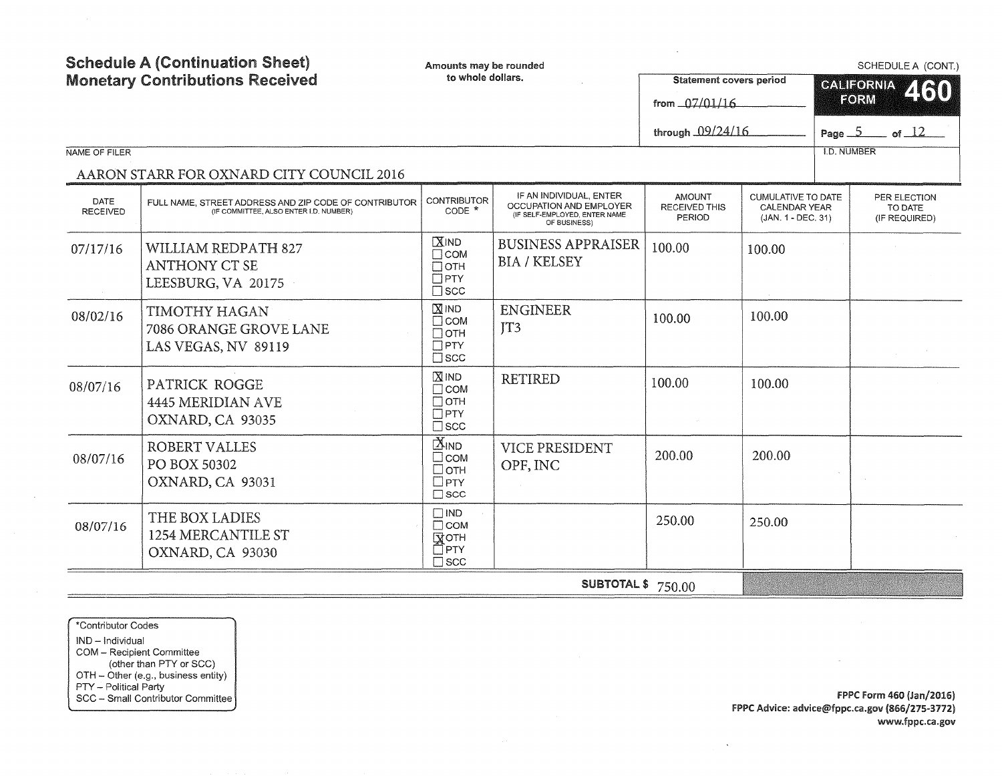| <b>Schedule A (Continuation Sheet)</b><br><b>Monetary Contributions Received</b><br>NAME OF FILER |                                                                                                 | Amounts may be rounded<br>to whole dollars.                                      |                                                                          | <b>Statement covers period</b><br>from $07/01/16$<br>through 09/24/16 |                                     | SCHEDULE A (CONT.)<br><b>CALIFORNIA</b><br>460<br>FORM<br>Page $5$ of $12$<br><b>I.D. NUMBER</b> |                          |  |  |
|---------------------------------------------------------------------------------------------------|-------------------------------------------------------------------------------------------------|----------------------------------------------------------------------------------|--------------------------------------------------------------------------|-----------------------------------------------------------------------|-------------------------------------|--------------------------------------------------------------------------------------------------|--------------------------|--|--|
|                                                                                                   | AARON STARR FOR OXNARD CITY COUNCIL 2016                                                        |                                                                                  | IF AN INDIVIDUAL, ENTER                                                  | <b>AMOUNT</b>                                                         | <b>CUMULATIVE TO DATE</b>           |                                                                                                  | PER ELECTION             |  |  |
| DATE<br><b>RECEIVED</b>                                                                           | FULL NAME, STREET ADDRESS AND ZIP CODE OF CONTRIBUTOR<br>(IF COMMITTEE, ALSO ENTER I.D. NUMBER) | <b>CONTRIBUTOR</b><br>CODE *                                                     | OCCUPATION AND EMPLOYER<br>(IF SELF-EMPLOYED, ENTER NAME<br>OF BUSINESS) | <b>RECEIVED THIS</b><br>PERIOD                                        | CALENDAR YEAR<br>(JAN. 1 - DEC. 31) |                                                                                                  | TO DATE<br>(IF REQUIRED) |  |  |
| 07/17/16                                                                                          | <b>WILLIAM REDPATH 827</b><br><b>ANTHONY CT SE</b><br>LEESBURG, VA 20175                        | $X$ IND<br>$\Box$ COM<br>Потн<br>$\Box$ PTY<br>$\square$ scc                     | <b>BUSINESS APPRAISER</b><br><b>BIA / KELSEY</b>                         | 100.00                                                                | 100.00                              |                                                                                                  |                          |  |  |
| 08/02/16                                                                                          | TIMOTHY HAGAN<br>7086 ORANGE GROVE LANE<br>LAS VEGAS, NV 89119                                  | $X$ IND<br>$\Box$ COM<br>$\Box$ OTH<br>$\Box$ PTY<br>$\square$ scc               | <b>ENGINEER</b><br>TT3                                                   | 100.00                                                                | 100.00                              |                                                                                                  |                          |  |  |
| 08/07/16                                                                                          | PATRICK ROGGE<br><b>4445 MERIDIAN AVE</b><br>OXNARD, CA 93035                                   | $X$ IND<br>$\Box$ COM<br>$\Box$ OTH<br>$\Box$ PTY<br>$\square$ scc               | <b>RETIRED</b>                                                           | 100.00                                                                | 100.00                              |                                                                                                  |                          |  |  |
| 08/07/16                                                                                          | <b>ROBERT VALLES</b><br>PO BOX 50302<br>OXNARD, CA 93031                                        | $\mathbb{X}_{\mathsf{IND}}$<br>□сом<br>$\Box$ OTH<br>$\Box$ PTY<br>$\square$ scc | <b>VICE PRESIDENT</b><br>OPF, INC                                        | 200.00                                                                | 200.00                              |                                                                                                  |                          |  |  |
| 08/07/16                                                                                          | THE BOX LADIES<br>1254 MERCANTILE ST<br>OXNARD, CA 93030                                        | $\Box$ IND<br>$\Box$ COM<br><b>NOTH</b><br>⊡ੈPTY<br>$\square$ scc                |                                                                          | 250.00                                                                | 250.00                              |                                                                                                  |                          |  |  |
|                                                                                                   | <b>SUBTOTAL \$</b> 750.00                                                                       |                                                                                  |                                                                          |                                                                       |                                     |                                                                                                  |                          |  |  |

\*Contributor Codes IND - Individual COM - Recipient Committee (other than PTY or SCC) OTH - Other (e.g., business entity) PTY - Political Party SCC - Small Contributor Committee

f PPC form 460 {Jan/2016) FPPC Advice: advice@fppc.ca.gov (866/275-3772) www.fppc.ca.gov

 $\sim$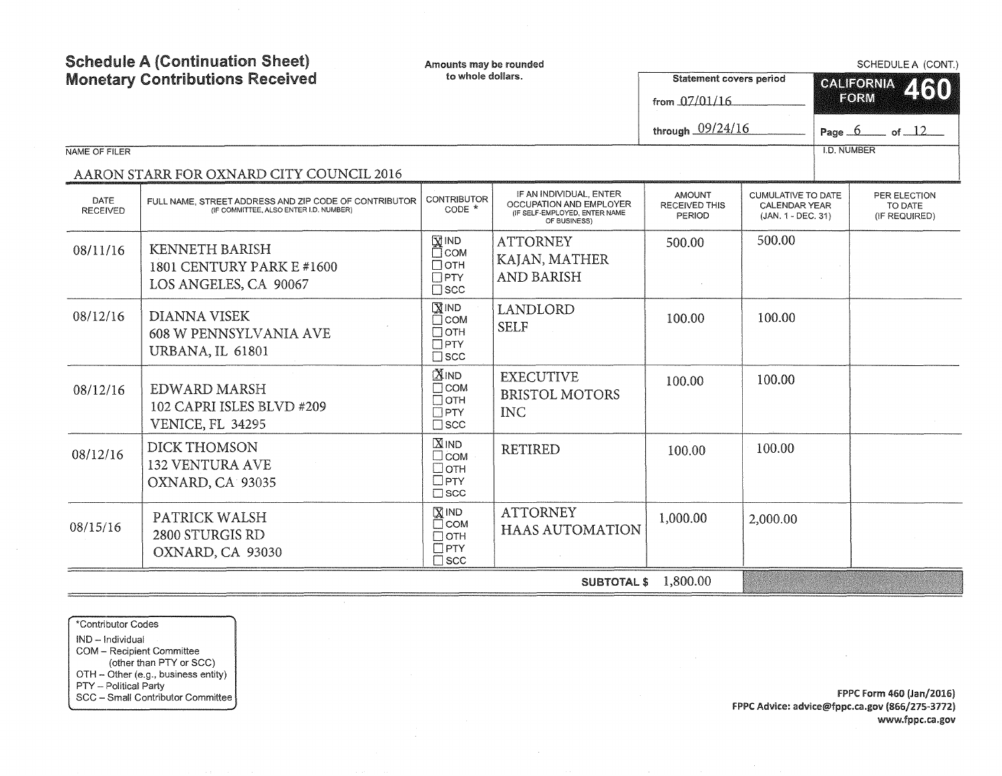|                         | <b>Schedule A (Continuation Sheet)</b>                                                          | Amounts may be rounded                                                                 |                                                                                                     |                                                 |                                                           |                                   | SCHEDULE A (CONT.)                       |  |  |
|-------------------------|-------------------------------------------------------------------------------------------------|----------------------------------------------------------------------------------------|-----------------------------------------------------------------------------------------------------|-------------------------------------------------|-----------------------------------------------------------|-----------------------------------|------------------------------------------|--|--|
|                         | <b>Monetary Contributions Received</b>                                                          | to whole dollars.                                                                      |                                                                                                     | <b>Statement covers period</b><br>from 07/01/16 |                                                           | <b>CALIFORNIA</b><br>2160<br>FORM |                                          |  |  |
|                         |                                                                                                 |                                                                                        |                                                                                                     | through 09/24/16                                | Page $6$ of $12$                                          |                                   |                                          |  |  |
| NAME OF FILER           |                                                                                                 |                                                                                        |                                                                                                     |                                                 |                                                           | <b>I.D. NUMBER</b>                |                                          |  |  |
|                         | AARON STARR FOR OXNARD CITY COUNCIL 2016                                                        |                                                                                        |                                                                                                     |                                                 |                                                           |                                   |                                          |  |  |
| DATE<br><b>RECEIVED</b> | FULL NAME, STREET ADDRESS AND ZIP CODE OF CONTRIBUTOR<br>(IF COMMITTEE, ALSO ENTER I.D. NUMBER) | <b>CONTRIBUTOR</b><br>$CODE *$                                                         | IF AN INDIVIDUAL, ENTER<br>OCCUPATION AND EMPLOYER<br>(IF SELF-EMPLOYED, ENTER NAME<br>OF BUSINESS) | <b>AMOUNT</b><br><b>RECEIVED THIS</b><br>PERIOD | CUMULATIVE TO DATE<br>CALENDAR YEAR<br>(JAN. 1 - DEC. 31) |                                   | PER ELECTION<br>TO DATE<br>(IF REQUIRED) |  |  |
| 08/11/16                | <b>KENNETH BARISH</b><br>1801 CENTURY PARK E #1600<br>LOS ANGELES, CA 90067                     | $\overline{\mathbf{X}}$ IND<br>П⊂ом<br>$\Box$ OTH<br>$\Box$ PTY<br>$\square$ scc       | <b>ATTORNEY</b><br>KAJAN, MATHER<br><b>AND BARISH</b>                                               | 500.00                                          | 500.00                                                    |                                   |                                          |  |  |
| 08/12/16                | <b>DIANNA VISEK</b><br><b>608 W PENNSYLVANIA AVE</b><br>URBANA, IL 61801                        | $X$ IND<br>$\Box$ COM<br>Потн<br>$\Box$ PTY<br>$\square$ scc                           | <b>LANDLORD</b><br><b>SELF</b>                                                                      | 100.00                                          | 100.00                                                    |                                   |                                          |  |  |
| 08/12/16                | EDWARD MARSH<br>102 CAPRI ISLES BLVD #209<br><b>VENICE, FL 34295</b>                            | <b>XIND</b><br>$\Box$ COM<br>$\Box$ OTH<br>$\Box$ PTY<br>$\square$ scc                 | <b>EXECUTIVE</b><br><b>BRISTOL MOTORS</b><br><b>INC</b>                                             | 100.00                                          | 100.00                                                    |                                   |                                          |  |  |
| 08/12/16                | <b>DICK THOMSON</b><br><b>132 VENTURA AVE</b><br>OXNARD, CA 93035                               | $X$ <sub>IND</sub><br>$\Box$ COM<br>□отн<br>$\Box$ PTY<br>$\square$ scc                | <b>RETIRED</b>                                                                                      | 100.00                                          | 100.00                                                    |                                   |                                          |  |  |
| 08/15/16                | PATRICK WALSH<br>2800 STURGIS RD<br>OXNARD, CA 93030                                            | $\overline{\mathrm{X}}$ IND<br>$\Box$ COM<br>$\Box$ OTH<br>$\Box$ PTY<br>$\square$ scc | <b>ATTORNEY</b><br><b>HAAS AUTOMATION</b>                                                           | 1,000.00                                        | 2,000.00                                                  |                                   |                                          |  |  |
|                         | 1,800.00<br><b>SUBTOTAL \$</b>                                                                  |                                                                                        |                                                                                                     |                                                 |                                                           |                                   |                                          |  |  |

 $\bar{\mathcal{A}}$ 

\*Contributor Codes IND - Individual COM - Recipient Committee (other than PTY or SCC) OTH - Other (e.g., business entity) PTY - Political Party SCC - Small Contributor Committee

f PPC Form 460 (Jan/2016) FPPC Advice: advice@fppc.ca.gov (866/275-3772) www.fppc.ca .gov

 $\sim 10^{-11}$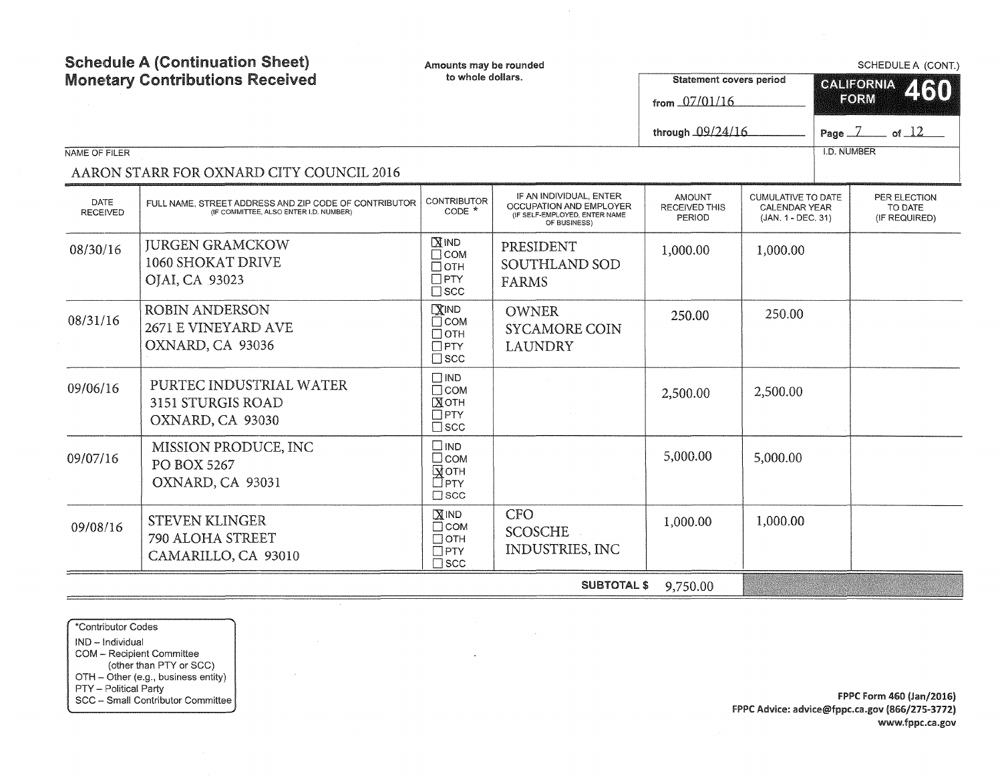| <b>Schedule A (Continuation Sheet)</b><br><b>Monetary Contributions Received</b><br>NAME OF FILER<br>AARON STARR FOR OXNARD CITY COUNCIL 2016 |                                                                                                 | Amounts may be rounded<br>to whole dollars.                           |                                                                                                     | <b>Statement covers period</b><br>from 07/01/16<br>through 09/24/16 |                                                                         |  | SCHEDULE A (CONT.)<br><b>CALIFORNIA</b><br>460<br>FORM<br>Page $\overline{Z}$ of $\overline{12}$<br><b>I.D. NUMBER</b> |  |
|-----------------------------------------------------------------------------------------------------------------------------------------------|-------------------------------------------------------------------------------------------------|-----------------------------------------------------------------------|-----------------------------------------------------------------------------------------------------|---------------------------------------------------------------------|-------------------------------------------------------------------------|--|------------------------------------------------------------------------------------------------------------------------|--|
| <b>DATE</b><br><b>RECEIVED</b>                                                                                                                | FULL NAME, STREET ADDRESS AND ZIP CODE OF CONTRIBUTOR<br>(IF COMMITTEE, ALSO ENTER I.D. NUMBER) | CONTRIBUTOR<br>CODE *                                                 | IF AN INDIVIDUAL, ENTER<br>OCCUPATION AND EMPLOYER<br>(IF SELF-EMPLOYED, ENTER NAME<br>OF BUSINESS) | <b>AMOUNT</b><br><b>RECEIVED THIS</b><br>PERIOD                     | <b>CUMULATIVE TO DATE</b><br><b>CALENDAR YEAR</b><br>(JAN. 1 - DEC. 31) |  | PER ELECTION<br>TO DATE<br>(IF REQUIRED)                                                                               |  |
| 08/30/16                                                                                                                                      | <b>IURGEN GRAMCKOW</b><br>1060 SHOKAT DRIVE<br>OJAI, CA 93023                                   | $X$ IND<br>$\Box$ COM<br>$\Box$ OTH<br>$\Box$ PTY<br>$\square$ scc    | PRESIDENT<br>SOUTHLAND SOD<br><b>FARMS</b>                                                          | 1,000.00                                                            | 1,000.00                                                                |  |                                                                                                                        |  |
| 08/31/16                                                                                                                                      | <b>ROBIN ANDERSON</b><br>2671 E VINEYARD AVE<br>OXNARD, CA 93036                                | $X$ IND<br>$\Box$ COM<br>$\Box$ OTH<br>$\Box$ PTY<br>$\Box$ scc       | <b>OWNER</b><br>250.00<br><b>SYCAMORE COIN</b><br><b>LAUNDRY</b>                                    |                                                                     | 250.00                                                                  |  |                                                                                                                        |  |
| 09/06/16                                                                                                                                      | PURTEC INDUSTRIAL WATER<br>3151 STURGIS ROAD<br>OXNARD, CA 93030                                | $\square$ IND<br>$\Box$ COM<br>Хотн<br>$\Box$ PTY<br>$\square$ scc    |                                                                                                     | 2,500.00                                                            | 2,500.00                                                                |  |                                                                                                                        |  |
| 09/07/16                                                                                                                                      | MISSION PRODUCE, INC<br><b>PO BOX 5267</b><br>OXNARD, CA 93031                                  | $\square$ IND<br>$\Box$ COM<br>Гуотн<br>□гтү<br>$\Box$ SCC            |                                                                                                     | 5,000.00                                                            | 5,000.00                                                                |  |                                                                                                                        |  |
| 09/08/16                                                                                                                                      | <b>STEVEN KLINGER</b><br>790 ALOHA STREET<br>CAMARILLO, CA 93010                                | $X$ IND<br>$\Box$ COM<br>$\Box$ OTH<br>$\square$ PTY<br>$\square$ scc | <b>CFO</b><br>SCOSCHE<br>INDUSTRIES, INC                                                            | 1,000.00                                                            | 1,000.00                                                                |  |                                                                                                                        |  |
|                                                                                                                                               |                                                                                                 |                                                                       | <b>SUBTOTAL \$</b>                                                                                  | 9,750.00                                                            |                                                                         |  |                                                                                                                        |  |

 $\label{eq:2.1} \frac{1}{\sqrt{2}}\left(\frac{1}{\sqrt{2}}\right)^{2} \frac{1}{\sqrt{2}}\left(\frac{1}{\sqrt{2}}\right)^{2}$ 

 $\mathcal{L}^{\pm}$ 

 $\hat{\mathcal{A}}$ 

\*Contributor Codes IND - Individual COM - Recipient Committee (other than PTY or SCC) OTH - Other (e.g., business entity) PTY - Political Party SCC - Small Contributor Committee

 $\sim$ 

 $\sim$   $\sim$ 

FPPC Form 460 (Jan/2016) FPPC Advice: advice@fppc.ca.gov {866/275-3772) www.fppc.ca.gov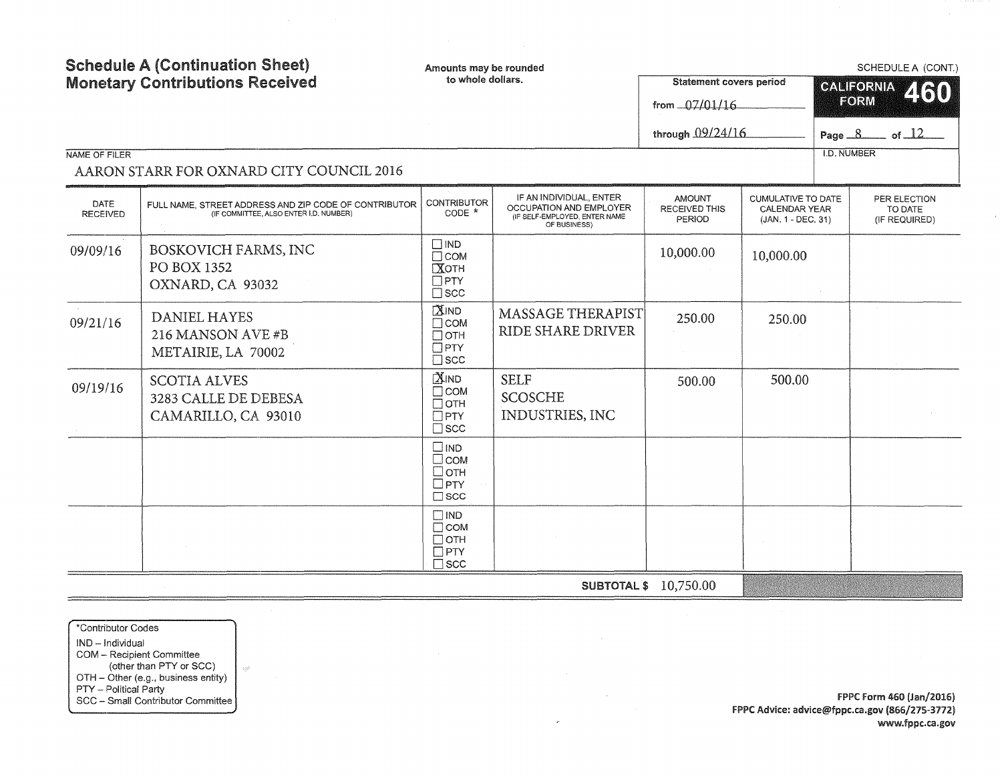| <b>Schedule A (Continuation Sheet)</b><br><b>Monetary Contributions Received</b> |                                                                                                 | Amounts may be rounded<br>to whole dollars.                              |                                                                                                     | <b>Statement covers period</b><br>from 07/01/16 |                                                                  | SCHEDULE A (CONT.)<br><b>CALIFORNIA</b><br>2160<br>FORM |                                          |
|----------------------------------------------------------------------------------|-------------------------------------------------------------------------------------------------|--------------------------------------------------------------------------|-----------------------------------------------------------------------------------------------------|-------------------------------------------------|------------------------------------------------------------------|---------------------------------------------------------|------------------------------------------|
|                                                                                  |                                                                                                 |                                                                          |                                                                                                     | through 09/24/16                                |                                                                  |                                                         | Page $8$ of $12$                         |
| NAME OF FILER                                                                    | AARON STARR FOR OXNARD CITY COUNCIL 2016                                                        |                                                                          |                                                                                                     |                                                 |                                                                  | <b>I.D. NUMBER</b>                                      |                                          |
| <b>DATE</b><br><b>RECEIVED</b>                                                   | FULL NAME, STREET ADDRESS AND ZIP CODE OF CONTRIBUTOR<br>(IF COMMITTEE, ALSO ENTER I.D. NUMBER) | <b>CONTRIBUTOR</b><br>$CODE *$                                           | IF AN INDIVIDUAL, ENTER<br>OCCUPATION AND EMPLOYER<br>(IF SELF-EMPLOYED, ENTER NAME<br>OF BUSINESS) | <b>AMOUNT</b><br>RECEIVED THIS<br>PERIOD        | <b>CUMULATIVE TO DATE</b><br>CALENDAR YEAR<br>(JAN. 1 - DEC. 31) |                                                         | PER ELECTION<br>TO DATE<br>(IF REQUIRED) |
| 09/09/16                                                                         | BOSKOVICH FARMS, INC<br>PO BOX 1352<br>OXNARD, CA 93032                                         | $\square$ IND<br>$\Box$ COM<br>Хотн<br>$\Box$ PTY<br>$\Box$ scc          |                                                                                                     | 10,000.00                                       | 10,000.00                                                        |                                                         |                                          |
| 09/21/16                                                                         | <b>DANIEL HAYES</b><br>216 MANSON AVE #B<br>METAIRIE, LA 70002                                  | <b>XIND</b><br>$\Box$ COM<br>$\Box$ OTH<br>$\Box$ PTY<br>$\square$ scc   | <b>MASSAGE THERAPIST</b><br>RIDE SHARE DRIVER                                                       | 250.00                                          | 250.00                                                           |                                                         |                                          |
| 09/19/16                                                                         | <b>SCOTIA ALVES</b><br>3283 CALLE DE DEBESA<br>CAMARILLO, CA 93010                              | <b>XIND</b><br>$\Box$ COM<br>$\Box$ OTH<br>$\Box$ PTY<br>$\square$ scc   | <b>SELF</b><br><b>SCOSCHE</b><br>INDUSTRIES, INC                                                    | 500.00                                          | 500.00                                                           |                                                         |                                          |
|                                                                                  |                                                                                                 | $\square$ IND<br>$\square$ COM<br>$\Box$ OTH<br>$\Box$ PTY<br>$\Box$ SCC |                                                                                                     |                                                 |                                                                  |                                                         |                                          |
|                                                                                  |                                                                                                 | $\Box$ IND<br>$\Box$ COM<br>$\Box$ OTH<br>$\Box$ PTY<br>$\square$ scc    |                                                                                                     |                                                 |                                                                  |                                                         |                                          |
|                                                                                  |                                                                                                 |                                                                          |                                                                                                     | <b>SUBTOTAL \$ 10,750.00</b>                    |                                                                  |                                                         |                                          |

 $\mathcal{L}$ 

\*Contributor Codes IND - Individual COM - Recipient Committee (other than PTY or SCC) OTH - Other (e.g., business entity) PTY – Political Party **Products and Contributor Committee FPPC Form 460 (Jan/2016)**<br>SCC – Small Contributor Committee FRID Form the Energy of the State of the State of the State of the State of the State of the State of th

 $\mathcal{Q}^{(2)}_0$ 

 $\mathbf{r}$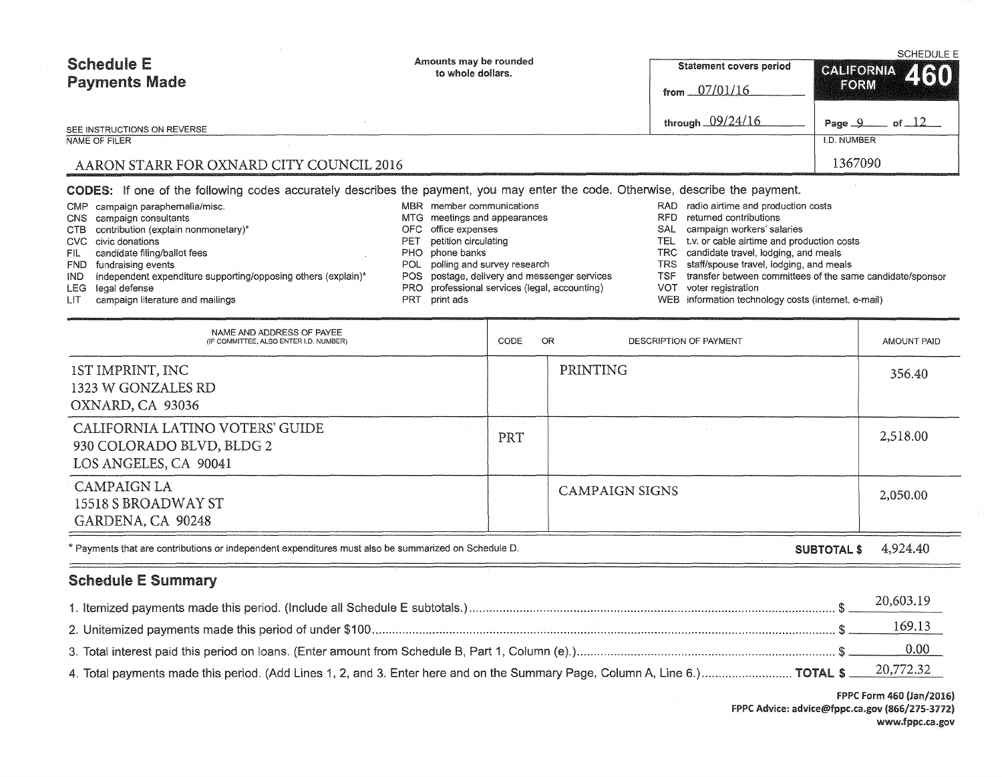| <b>Schedule E</b><br><b>Payments Made</b> | Amounts may be rounded<br>to whole dollars. | Statement covers period<br>from $07/01/16$ | <b>SCHEDULE E</b><br>CALIFORNIA 460<br><b>FORM</b> |
|-------------------------------------------|---------------------------------------------|--------------------------------------------|----------------------------------------------------|
| SEE INSTRUCTIONS ON REVERSE               |                                             | through 09/24/16                           | of $\Box$ 2<br>Page $\mathcal{Q}$                  |
| NAME OF FILER                             |                                             |                                            | I.D. NUMBER                                        |
| AARON STARR FOR OXNARD CITY COUNCIL 2016  |                                             |                                            | 1367090                                            |

CODES: If one of the following codes accurately describes the payment, you may enter the code. Otherwise, describe the payment.

| CMP campaign paraphernalia/misc.                                  | MBR member communications                     | RAD. | radio airtime and production costs                        |
|-------------------------------------------------------------------|-----------------------------------------------|------|-----------------------------------------------------------|
| CNS campaign consultants                                          | MTG meetings and appearances                  | RFD  | returned contributions                                    |
| CTB contribution (explain nonmonetary)*                           | OFC office expenses                           | SAL  | campaign workers' salaries                                |
| CVC civic donations                                               | PET petition circulating                      |      | TEL t.v. or cable airtime and production costs            |
| FIL candidate filing/ballot fees                                  | PHO phone banks                               |      | TRC candidate travel, lodging, and meals                  |
| FND fundraising events                                            | POL polling and survey research               |      | TRS staff/spouse travel, lodging, and meals               |
| IND independent expenditure supporting/opposing others (explain)* | POS postage, delivery and messenger services  | TSF  | transfer between committees of the same candidate/sponsor |
| LEG legal defense                                                 | PRO professional services (legal, accounting) | VOT  | voter registration                                        |
| LIT campaign literature and mailings                              | PRT print ads                                 |      | WEB information technology costs (internet, e-mail)       |

| NAME AND ADDRESS OF PAYEE<br>(IF COMMITTEE, ALSO ENTER I.D. NUMBER)                   | OR.<br><b>CODE</b> | DESCRIPTION OF PAYMENT | AMOUNT PAID |
|---------------------------------------------------------------------------------------|--------------------|------------------------|-------------|
| 1ST IMPRINT, INC<br>1323 W GONZALES RD<br>OXNARD, CA 93036                            |                    | PRINTING               | 356.40      |
| CALIFORNIA LATINO VOTERS' GUIDE<br>930 COLORADO BLVD, BLDG 2<br>LOS ANGELES, CA 90041 | PRT                |                        | 2,518.00    |
| <b>CAMPAIGN LA</b><br>15518 S BROADWAY ST<br>GARDENA, CA 90248                        |                    | <b>CAMPAIGN SIGNS</b>  | 2,050.00    |

\*Payments that are contributions or independent expenditures must also be summarized on Schedule D.

#### SUBTOTAL\$ 4,924.40

# Schedule E Summary

 $=$ 

|                                                                                                                                       | 20,603.19     |
|---------------------------------------------------------------------------------------------------------------------------------------|---------------|
|                                                                                                                                       | <u>169.13</u> |
|                                                                                                                                       | 0.00          |
| 4. Total payments made this period. (Add Lines 1, 2, and 3. Enter here and on the Summary Page, Column A, Line 6.) TOTAL \$ 20,772.32 |               |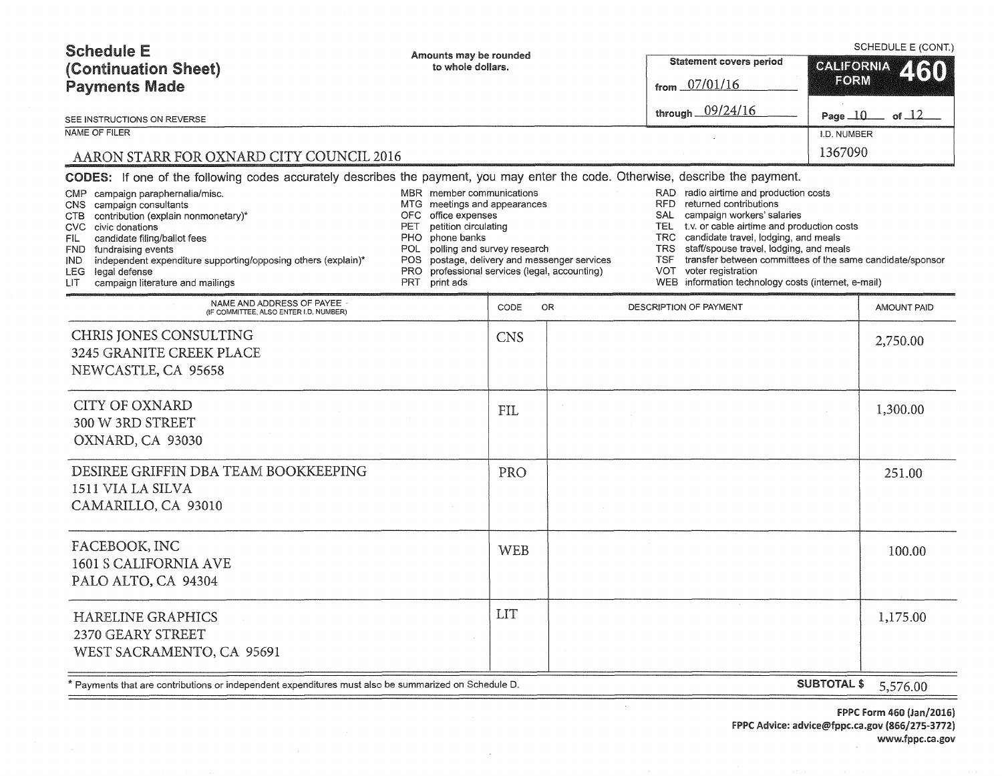| <b>Schedule E</b><br>(Continuation Sheet)<br><b>Payments Made</b>                                                                                                                                                                                                                                                                               | Amounts may be rounded<br>to whole dollars.                                                                                                                                                                                        |            |                                                                                       |                                               | Statement covers period<br>from 07/01/16                                                                                                                                                                                                                                                                                                                                                 |                    | SCHEDULE E (CONT.)<br><b>CALIFORNIA</b><br>60<br>FORM |  |
|-------------------------------------------------------------------------------------------------------------------------------------------------------------------------------------------------------------------------------------------------------------------------------------------------------------------------------------------------|------------------------------------------------------------------------------------------------------------------------------------------------------------------------------------------------------------------------------------|------------|---------------------------------------------------------------------------------------|-----------------------------------------------|------------------------------------------------------------------------------------------------------------------------------------------------------------------------------------------------------------------------------------------------------------------------------------------------------------------------------------------------------------------------------------------|--------------------|-------------------------------------------------------|--|
| SEE INSTRUCTIONS ON REVERSE                                                                                                                                                                                                                                                                                                                     |                                                                                                                                                                                                                                    |            |                                                                                       |                                               | through 09/24/16                                                                                                                                                                                                                                                                                                                                                                         | Page $10-$         | of $\perp$ 2                                          |  |
| NAME OF FILER                                                                                                                                                                                                                                                                                                                                   |                                                                                                                                                                                                                                    |            |                                                                                       |                                               |                                                                                                                                                                                                                                                                                                                                                                                          | I.D. NUMBER        |                                                       |  |
| AARON STARR FOR OXNARD CITY COUNCIL 2016                                                                                                                                                                                                                                                                                                        |                                                                                                                                                                                                                                    |            |                                                                                       |                                               |                                                                                                                                                                                                                                                                                                                                                                                          | 1367090            |                                                       |  |
| <b>CODES:</b> If one of the following codes accurately describes the payment, you may enter the code. Otherwise, describe the payment.                                                                                                                                                                                                          |                                                                                                                                                                                                                                    |            |                                                                                       |                                               |                                                                                                                                                                                                                                                                                                                                                                                          |                    |                                                       |  |
| CMP campaign paraphernalia/misc.<br>campaign consultants<br>CNS .<br>CTB contribution (explain nonmonetary)*<br>CVC civic donations<br>candidate filing/ballot fees<br>FIL.<br>FND fundraising events<br>independent expenditure supporting/opposing others (explain)*<br>IND.<br>LEG legal defense<br>campaign literature and mailings<br>LIT. | MBR member communications<br>MTG meetings and appearances<br>office expenses<br>OFC.<br>petition circulating<br>PET<br>phone banks<br>PHO.<br>polling and survey research<br>POL.<br>POS.<br><b>PRO</b><br><b>PRT</b><br>print ads |            | postage, delivery and messenger services<br>professional services (legal, accounting) | <b>TEL</b><br>TRC<br><b>TRS</b><br><b>TSF</b> | RAD radio airtime and production costs<br>RFD returned contributions<br>campaign workers' salaries<br>SAL<br>t.v. or cable airtime and production costs<br>candidate travel, lodging, and meals<br>staff/spouse travel, lodging, and meals<br>transfer between committees of the same candidate/sponsor<br>VOT voter registration<br>WEB information technology costs (internet, e-mail) |                    |                                                       |  |
| NAME AND ADDRESS OF PAYEE<br>(IF COMMITTEE, ALSO ENTER I.D. NUMBER)                                                                                                                                                                                                                                                                             |                                                                                                                                                                                                                                    | CODE       | OR.                                                                                   |                                               | DESCRIPTION OF PAYMENT                                                                                                                                                                                                                                                                                                                                                                   |                    | AMOUNT PAID                                           |  |
| CHRIS JONES CONSULTING<br>3245 GRANITE CREEK PLACE<br>NEWCASTLE, CA 95658                                                                                                                                                                                                                                                                       |                                                                                                                                                                                                                                    | <b>CNS</b> |                                                                                       |                                               |                                                                                                                                                                                                                                                                                                                                                                                          |                    | 2,750.00                                              |  |
| <b>CITY OF OXNARD</b><br>300 W 3RD STREET<br>OXNARD, CA 93030                                                                                                                                                                                                                                                                                   |                                                                                                                                                                                                                                    | <b>FIL</b> |                                                                                       |                                               |                                                                                                                                                                                                                                                                                                                                                                                          |                    | 1,300.00                                              |  |
| DESIREE GRIFFIN DBA TEAM BOOKKEEPING<br>1511 VIA LA SILVA<br>CAMARILLO, CA 93010                                                                                                                                                                                                                                                                |                                                                                                                                                                                                                                    | PRO        |                                                                                       |                                               |                                                                                                                                                                                                                                                                                                                                                                                          |                    | 251.00                                                |  |
| FACEBOOK, INC<br>1601 S CALIFORNIA AVE<br>PALO ALTO, CA 94304                                                                                                                                                                                                                                                                                   |                                                                                                                                                                                                                                    | <b>WEB</b> |                                                                                       |                                               |                                                                                                                                                                                                                                                                                                                                                                                          |                    | 100.00                                                |  |
| <b>HARELINE GRAPHICS</b><br>2370 GEARY STREET<br>WEST SACRAMENTO, CA 95691                                                                                                                                                                                                                                                                      |                                                                                                                                                                                                                                    | <b>LIT</b> |                                                                                       |                                               |                                                                                                                                                                                                                                                                                                                                                                                          |                    | 1,175.00                                              |  |
| * Payments that are contributions or independent expenditures must also be summarized on Schedule D.                                                                                                                                                                                                                                            |                                                                                                                                                                                                                                    |            |                                                                                       |                                               |                                                                                                                                                                                                                                                                                                                                                                                          | <b>SUBTOTAL \$</b> | 5,576.00                                              |  |

 $\mathcal{L}$ 

 $\sim$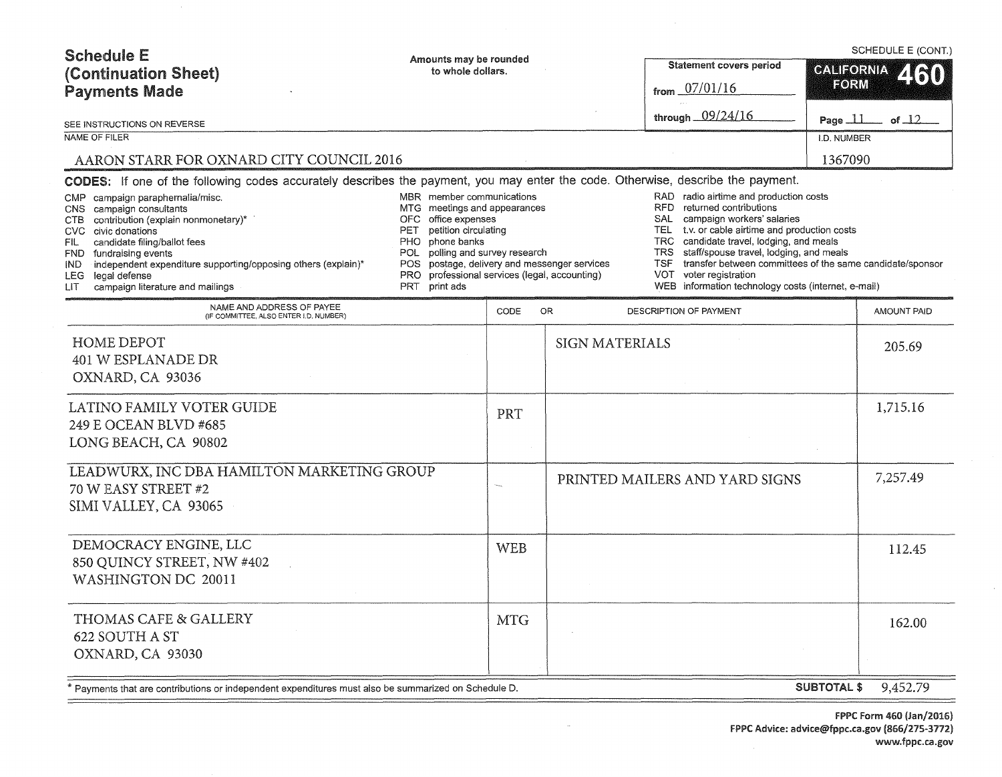| <b>Schedule E</b><br>(Continuation Sheet)<br><b>Payments Made</b>                                                                                                                                                                                                                                                                                                                                                                                                                    | Amounts may be rounded<br>to whole dollars.                                                                                                                                                                                                                                                     |            |                       | Statement covers period<br>from $07/01/16$<br>through 09/24/16                                                                                                                                                                                                                                                                                                                                                                           | SCHEDULE E (CONT.)<br><b>CALIFORNIA</b><br>FORM |                    |
|--------------------------------------------------------------------------------------------------------------------------------------------------------------------------------------------------------------------------------------------------------------------------------------------------------------------------------------------------------------------------------------------------------------------------------------------------------------------------------------|-------------------------------------------------------------------------------------------------------------------------------------------------------------------------------------------------------------------------------------------------------------------------------------------------|------------|-----------------------|------------------------------------------------------------------------------------------------------------------------------------------------------------------------------------------------------------------------------------------------------------------------------------------------------------------------------------------------------------------------------------------------------------------------------------------|-------------------------------------------------|--------------------|
| SEE INSTRUCTIONS ON REVERSE<br>NAME OF FILER                                                                                                                                                                                                                                                                                                                                                                                                                                         |                                                                                                                                                                                                                                                                                                 |            |                       |                                                                                                                                                                                                                                                                                                                                                                                                                                          | Page $\perp \perp$                              | of $\Box$ 2        |
|                                                                                                                                                                                                                                                                                                                                                                                                                                                                                      |                                                                                                                                                                                                                                                                                                 |            |                       |                                                                                                                                                                                                                                                                                                                                                                                                                                          | I.D. NUMBER                                     |                    |
| AARON STARR FOR OXNARD CITY COUNCIL 2016                                                                                                                                                                                                                                                                                                                                                                                                                                             |                                                                                                                                                                                                                                                                                                 |            |                       |                                                                                                                                                                                                                                                                                                                                                                                                                                          | 1367090                                         |                    |
| CODES: If one of the following codes accurately describes the payment, you may enter the code. Otherwise, describe the payment.<br>CMP campaign paraphernalia/misc.<br>campaign consultants<br>CNS.<br>contribution (explain nonmonetary)*<br>ств<br>CVC civic donations<br>candidate filing/ballot fees<br>FIL.<br>FND fundraising events<br>independent expenditure supporting/opposing others (explain)*<br>IND.<br>LEG legal defense<br>campaign literature and mailings<br>LIT. | MBR member communications<br>MTG meetings and appearances<br>office expenses<br>OFC.<br>petition circulating<br>PET<br>phone banks<br>PHO.<br>POL polling and survey research<br>POS postage, delivery and messenger services<br>PRO professional services (legal, accounting)<br>PRT print ads |            |                       | RAD radio airtime and production costs<br>RFD.<br>returned contributions<br>campaign workers' salaries<br>SAL<br>t.v. or cable airtime and production costs<br><b>TEL</b><br>candidate travel, lodging, and meals<br>TRC.<br><b>TRS</b><br>staff/spouse travel, lodging, and meals<br>transfer between committees of the same candidate/sponsor<br>TSF.<br>VOT voter registration<br>WEB information technology costs (internet, e-mail) |                                                 |                    |
| NAME AND ADDRESS OF PAYEE<br>(IF COMMITTEE, ALSO ENTER I.D. NUMBER)                                                                                                                                                                                                                                                                                                                                                                                                                  |                                                                                                                                                                                                                                                                                                 | CODE       | <b>OR</b>             | DESCRIPTION OF PAYMENT                                                                                                                                                                                                                                                                                                                                                                                                                   |                                                 | <b>AMOUNT PAID</b> |
| <b>HOME DEPOT</b><br><b>401 W ESPLANADE DR</b><br>OXNARD, CA 93036                                                                                                                                                                                                                                                                                                                                                                                                                   |                                                                                                                                                                                                                                                                                                 |            | <b>SIGN MATERIALS</b> |                                                                                                                                                                                                                                                                                                                                                                                                                                          |                                                 | 205.69             |
| LATINO FAMILY VOTER GUIDE<br>249 E OCEAN BLVD #685<br>LONG BEACH, CA 90802                                                                                                                                                                                                                                                                                                                                                                                                           |                                                                                                                                                                                                                                                                                                 | PRT        |                       |                                                                                                                                                                                                                                                                                                                                                                                                                                          |                                                 | 1,715.16           |
| LEADWURX, INC DBA HAMILTON MARKETING GROUP<br>70 W EASY STREET #2<br>SIMI VALLEY, CA 93065                                                                                                                                                                                                                                                                                                                                                                                           |                                                                                                                                                                                                                                                                                                 |            |                       | PRINTED MAILERS AND YARD SIGNS                                                                                                                                                                                                                                                                                                                                                                                                           |                                                 | 7,257.49           |
| DEMOCRACY ENGINE, LLC<br>850 QUINCY STREET, NW #402<br><b>WASHINGTON DC 20011</b>                                                                                                                                                                                                                                                                                                                                                                                                    |                                                                                                                                                                                                                                                                                                 | <b>WEB</b> |                       |                                                                                                                                                                                                                                                                                                                                                                                                                                          |                                                 | 112.45             |
| THOMAS CAFE & GALLERY<br>622 SOUTH A ST<br>OXNARD, CA 93030                                                                                                                                                                                                                                                                                                                                                                                                                          |                                                                                                                                                                                                                                                                                                 | <b>MTG</b> |                       |                                                                                                                                                                                                                                                                                                                                                                                                                                          |                                                 | 162.00             |
| Payments that are contributions or independent expenditures must also be summarized on Schedule D. *                                                                                                                                                                                                                                                                                                                                                                                 |                                                                                                                                                                                                                                                                                                 |            |                       |                                                                                                                                                                                                                                                                                                                                                                                                                                          | <b>SUBTOTAL \$</b>                              | 9,452.79           |

 $\bar{a}$ 

 $=$